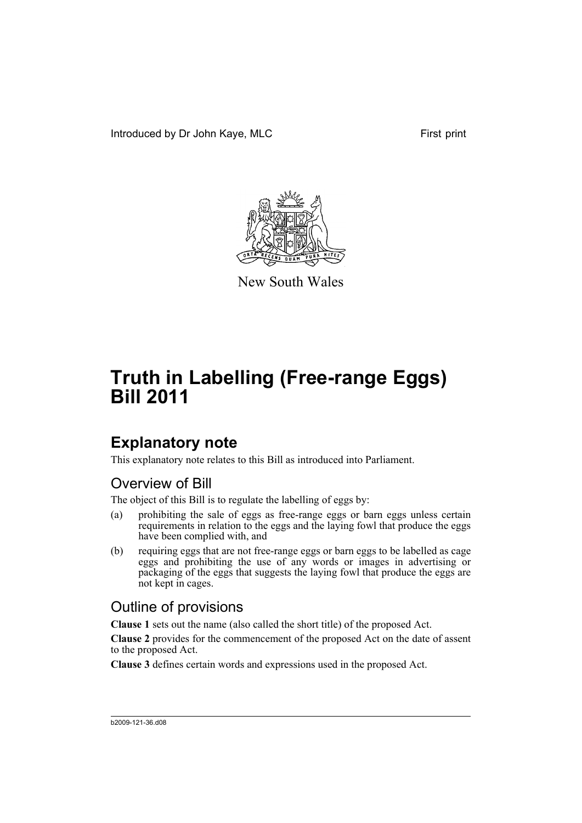Introduced by Dr John Kaye, MLC First print



New South Wales

# **Truth in Labelling (Free-range Eggs) Bill 2011**

## **Explanatory note**

This explanatory note relates to this Bill as introduced into Parliament.

## Overview of Bill

The object of this Bill is to regulate the labelling of eggs by:

- (a) prohibiting the sale of eggs as free-range eggs or barn eggs unless certain requirements in relation to the eggs and the laying fowl that produce the eggs have been complied with, and
- (b) requiring eggs that are not free-range eggs or barn eggs to be labelled as cage eggs and prohibiting the use of any words or images in advertising or packaging of the eggs that suggests the laying fowl that produce the eggs are not kept in cages.

## Outline of provisions

**Clause 1** sets out the name (also called the short title) of the proposed Act.

**Clause 2** provides for the commencement of the proposed Act on the date of assent to the proposed Act.

**Clause 3** defines certain words and expressions used in the proposed Act.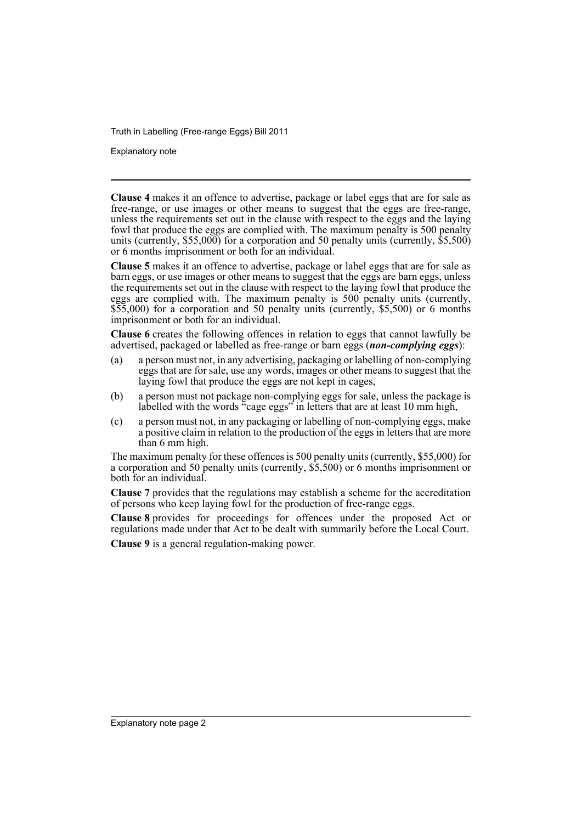Truth in Labelling (Free-range Eggs) Bill 2011

Explanatory note

**Clause 4** makes it an offence to advertise, package or label eggs that are for sale as free-range, or use images or other means to suggest that the eggs are free-range, unless the requirements set out in the clause with respect to the eggs and the laying fowl that produce the eggs are complied with. The maximum penalty is 500 penalty units (currently,  $$55,000$ ) for a corporation and 50 penalty units (currently,  $$5,500$ ) or 6 months imprisonment or both for an individual.

**Clause 5** makes it an offence to advertise, package or label eggs that are for sale as barn eggs, or use images or other means to suggest that the eggs are barn eggs, unless the requirements set out in the clause with respect to the laying fowl that produce the eggs are complied with. The maximum penalty is 500 penalty units (currently, \$55,000) for a corporation and 50 penalty units (currently, \$5,500) or 6 months imprisonment or both for an individual.

**Clause 6** creates the following offences in relation to eggs that cannot lawfully be advertised, packaged or labelled as free-range or barn eggs (*non-complying eggs*):

- (a) a person must not, in any advertising, packaging or labelling of non-complying eggs that are for sale, use any words, images or other means to suggest that the laying fowl that produce the eggs are not kept in cages,
- (b) a person must not package non-complying eggs for sale, unless the package is labelled with the words "cage eggs" in letters that are at least 10 mm high,
- (c) a person must not, in any packaging or labelling of non-complying eggs, make a positive claim in relation to the production of the eggs in letters that are more than 6 mm high.

The maximum penalty for these offences is 500 penalty units (currently, \$55,000) for a corporation and 50 penalty units (currently, \$5,500) or 6 months imprisonment or both for an individual.

**Clause 7** provides that the regulations may establish a scheme for the accreditation of persons who keep laying fowl for the production of free-range eggs.

**Clause 8** provides for proceedings for offences under the proposed Act or regulations made under that Act to be dealt with summarily before the Local Court.

**Clause 9** is a general regulation-making power.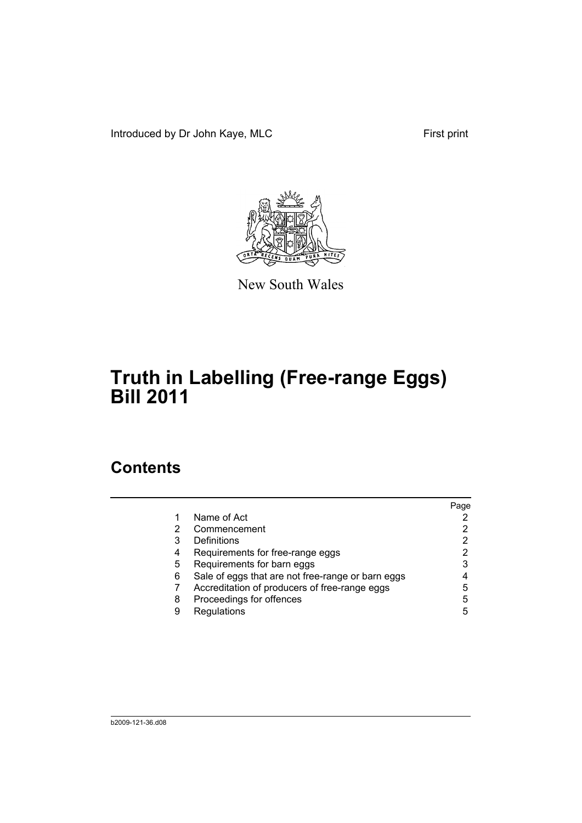Introduced by Dr John Kaye, MLC First print



New South Wales

# **Truth in Labelling (Free-range Eggs) Bill 2011**

## **Contents**

|   |                                                   | Page |
|---|---------------------------------------------------|------|
|   | Name of Act                                       |      |
|   | Commencement                                      |      |
| 3 | Definitions                                       |      |
| 4 | Requirements for free-range eggs                  |      |
| 5 | Requirements for barn eggs                        | 3    |
| 6 | Sale of eggs that are not free-range or barn eggs |      |
|   | Accreditation of producers of free-range eggs     | 5    |
| 8 | Proceedings for offences                          | 5    |
| 9 | Regulations                                       | 5    |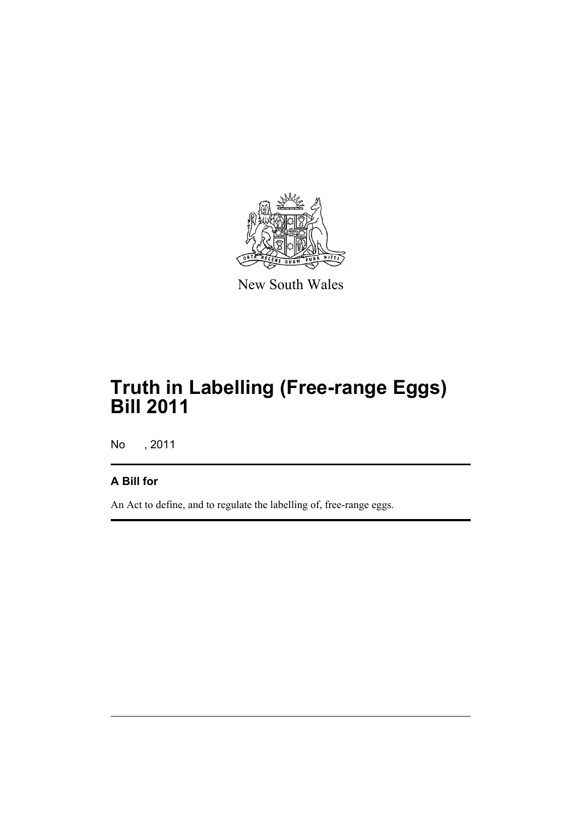

New South Wales

# **Truth in Labelling (Free-range Eggs) Bill 2011**

No , 2011

### **A Bill for**

An Act to define, and to regulate the labelling of, free-range eggs.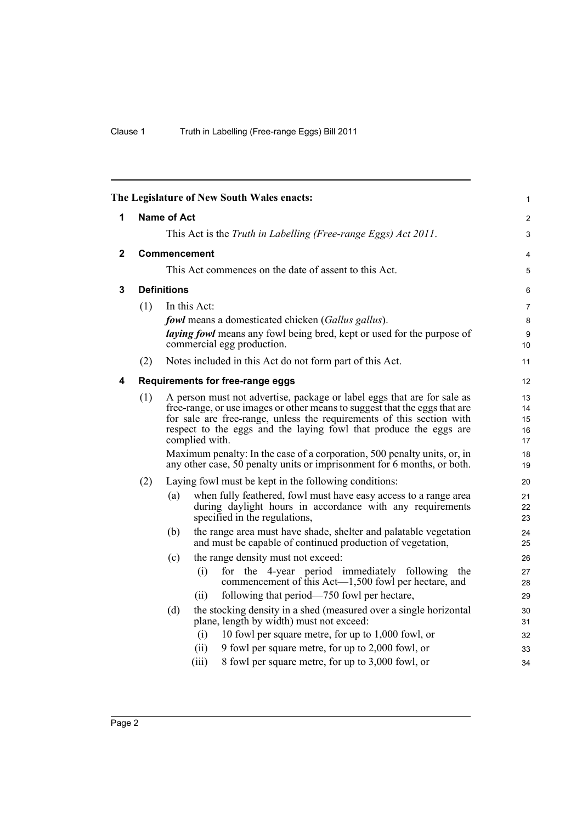<span id="page-5-3"></span><span id="page-5-2"></span><span id="page-5-1"></span><span id="page-5-0"></span>

|   |                     | The Legislature of New South Wales enacts:                                                                                                                                                                                                                                                                                                                                                        | 1                                |  |  |
|---|---------------------|---------------------------------------------------------------------------------------------------------------------------------------------------------------------------------------------------------------------------------------------------------------------------------------------------------------------------------------------------------------------------------------------------|----------------------------------|--|--|
| 1 | <b>Name of Act</b>  |                                                                                                                                                                                                                                                                                                                                                                                                   |                                  |  |  |
|   |                     | This Act is the Truth in Labelling (Free-range Eggs) Act 2011.                                                                                                                                                                                                                                                                                                                                    | 3                                |  |  |
| 2 | <b>Commencement</b> |                                                                                                                                                                                                                                                                                                                                                                                                   |                                  |  |  |
|   |                     | This Act commences on the date of assent to this Act.                                                                                                                                                                                                                                                                                                                                             | 4<br>5                           |  |  |
| 3 | <b>Definitions</b>  |                                                                                                                                                                                                                                                                                                                                                                                                   |                                  |  |  |
|   | (1)                 | In this Act:                                                                                                                                                                                                                                                                                                                                                                                      | 7                                |  |  |
|   |                     | <b>fowl</b> means a domesticated chicken (Gallus gallus).                                                                                                                                                                                                                                                                                                                                         | 8                                |  |  |
|   |                     | laying fowl means any fowl being bred, kept or used for the purpose of<br>commercial egg production.                                                                                                                                                                                                                                                                                              | 9<br>10                          |  |  |
|   | (2)                 | Notes included in this Act do not form part of this Act.                                                                                                                                                                                                                                                                                                                                          | 11                               |  |  |
| 4 |                     | Requirements for free-range eggs                                                                                                                                                                                                                                                                                                                                                                  | 12                               |  |  |
|   | (1)                 | A person must not advertise, package or label eggs that are for sale as<br>free-range, or use images or other means to suggest that the eggs that are<br>for sale are free-range, unless the requirements of this section with<br>respect to the eggs and the laying fowl that produce the eggs are<br>complied with.<br>Maximum penalty: In the case of a corporation, 500 penalty units, or, in | 13<br>14<br>15<br>16<br>17<br>18 |  |  |
|   |                     | any other case, 50 penalty units or imprisonment for 6 months, or both.                                                                                                                                                                                                                                                                                                                           | 19                               |  |  |
|   | (2)                 | Laying fowl must be kept in the following conditions:                                                                                                                                                                                                                                                                                                                                             | 20                               |  |  |
|   |                     | when fully feathered, fowl must have easy access to a range area<br>(a)<br>during daylight hours in accordance with any requirements<br>specified in the regulations,                                                                                                                                                                                                                             | 21<br>22<br>23                   |  |  |
|   |                     | the range area must have shade, shelter and palatable vegetation<br>(b)<br>and must be capable of continued production of vegetation,                                                                                                                                                                                                                                                             | 24<br>25                         |  |  |
|   |                     | the range density must not exceed:<br>(c)                                                                                                                                                                                                                                                                                                                                                         | 26                               |  |  |
|   |                     | for the 4-year period immediately following the<br>(i)<br>commencement of this Act—1,500 fowl per hectare, and                                                                                                                                                                                                                                                                                    | 27<br>28                         |  |  |
|   |                     | following that period—750 fowl per hectare,<br>(11)                                                                                                                                                                                                                                                                                                                                               | 29                               |  |  |
|   |                     | (d)<br>the stocking density in a shed (measured over a single horizontal<br>plane, length by width) must not exceed:                                                                                                                                                                                                                                                                              | 30<br>31                         |  |  |
|   |                     | 10 fowl per square metre, for up to 1,000 fowl, or<br>(i)                                                                                                                                                                                                                                                                                                                                         | 32                               |  |  |
|   |                     | (ii)<br>9 fowl per square metre, for up to 2,000 fowl, or                                                                                                                                                                                                                                                                                                                                         | 33                               |  |  |
|   |                     | (iii)<br>8 fowl per square metre, for up to 3,000 fowl, or                                                                                                                                                                                                                                                                                                                                        | 34                               |  |  |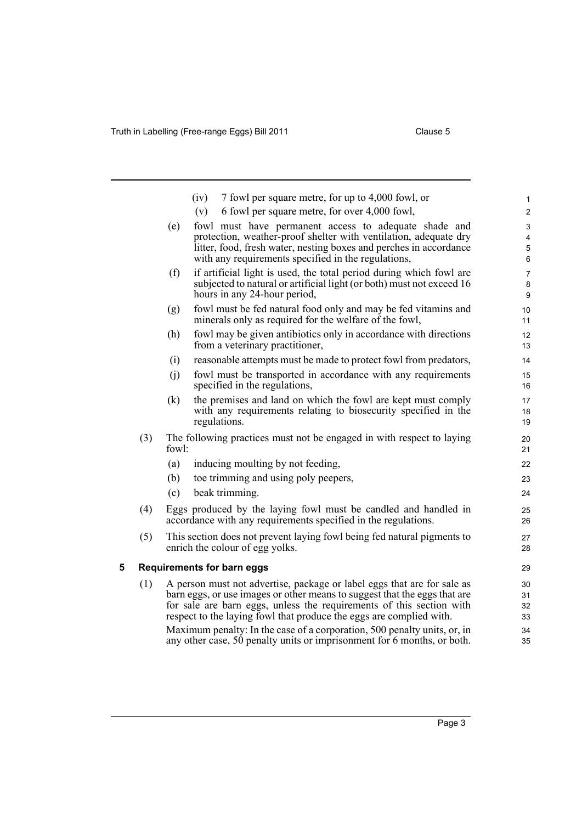<span id="page-6-0"></span>

|   |     |                                                                                                                                                   | 7 fowl per square metre, for up to 4,000 fowl, or<br>(iv)                                                                                           | $\mathbf{1}$     |
|---|-----|---------------------------------------------------------------------------------------------------------------------------------------------------|-----------------------------------------------------------------------------------------------------------------------------------------------------|------------------|
|   |     |                                                                                                                                                   | 6 fowl per square metre, for over 4,000 fowl,<br>(v)                                                                                                | $\boldsymbol{2}$ |
|   |     | (e)                                                                                                                                               | fowl must have permanent access to adequate shade and                                                                                               | $\mathfrak{S}$   |
|   |     |                                                                                                                                                   | protection, weather-proof shelter with ventilation, adequate dry<br>litter, food, fresh water, nesting boxes and perches in accordance              | 4<br>$\mathbf 5$ |
|   |     |                                                                                                                                                   | with any requirements specified in the regulations,                                                                                                 | 6                |
|   |     | (f)                                                                                                                                               | if artificial light is used, the total period during which fowl are                                                                                 | $\overline{7}$   |
|   |     |                                                                                                                                                   | subjected to natural or artificial light (or both) must not exceed 16<br>hours in any 24-hour period,                                               | 8<br>9           |
|   |     | (g)                                                                                                                                               | fowl must be fed natural food only and may be fed vitamins and<br>minerals only as required for the welfare of the fowl,                            | 10<br>11         |
|   |     | (h)                                                                                                                                               | fowl may be given antibiotics only in accordance with directions<br>from a veterinary practitioner,                                                 | 12<br>13         |
|   |     | (i)                                                                                                                                               | reasonable attempts must be made to protect fowl from predators,                                                                                    | 14               |
|   |     | (j)                                                                                                                                               | fowl must be transported in accordance with any requirements<br>specified in the regulations,                                                       | 15<br>16         |
|   |     | (k)                                                                                                                                               | the premises and land on which the fowl are kept must comply                                                                                        | 17               |
|   |     |                                                                                                                                                   | with any requirements relating to biosecurity specified in the<br>regulations.                                                                      | 18<br>19         |
|   | (3) | fowl:                                                                                                                                             | The following practices must not be engaged in with respect to laying                                                                               | 20<br>21         |
|   |     | (a)                                                                                                                                               | inducing moulting by not feeding,                                                                                                                   | 22               |
|   |     | (b)                                                                                                                                               | toe trimming and using poly peepers,                                                                                                                | 23               |
|   |     | (c)                                                                                                                                               | beak trimming.                                                                                                                                      | 24               |
|   | (4) |                                                                                                                                                   | Eggs produced by the laying fowl must be candled and handled in<br>accordance with any requirements specified in the regulations.                   | 25<br>26         |
|   | (5) |                                                                                                                                                   | This section does not prevent laying fowl being fed natural pigments to<br>enrich the colour of egg yolks.                                          | 27<br>28         |
| 5 |     |                                                                                                                                                   | <b>Requirements for barn eggs</b>                                                                                                                   | 29               |
|   | (1) |                                                                                                                                                   | A person must not advertise, package or label eggs that are for sale as                                                                             | 30               |
|   |     | barn eggs, or use images or other means to suggest that the eggs that are<br>for sale are barn eggs, unless the requirements of this section with |                                                                                                                                                     | 31               |
|   |     |                                                                                                                                                   | respect to the laying fowl that produce the eggs are complied with.                                                                                 | 32<br>33         |
|   |     |                                                                                                                                                   | Maximum penalty: In the case of a corporation, 500 penalty units, or, in<br>any other case, 50 penalty units or imprisonment for 6 months, or both. | 34<br>35         |
|   |     |                                                                                                                                                   |                                                                                                                                                     |                  |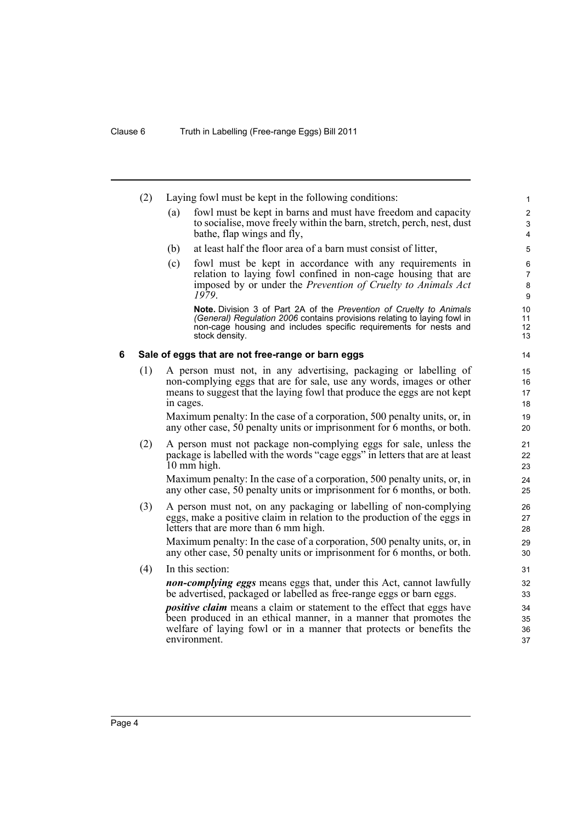<span id="page-7-0"></span>

|     |            |                                                                                 | 1                                                                                                                                                                                                                                                                                                                                                                                                                                                                                                                                                                                                                                                                                                                                                                                                                                                                                                                                                                                                                                                                                                                                                                                                                                                                                                                                                                                                                                                                                                                                                                                                                                                                                                                                                                                                                                                                                                                                                                                                                                                                                                             |
|-----|------------|---------------------------------------------------------------------------------|---------------------------------------------------------------------------------------------------------------------------------------------------------------------------------------------------------------------------------------------------------------------------------------------------------------------------------------------------------------------------------------------------------------------------------------------------------------------------------------------------------------------------------------------------------------------------------------------------------------------------------------------------------------------------------------------------------------------------------------------------------------------------------------------------------------------------------------------------------------------------------------------------------------------------------------------------------------------------------------------------------------------------------------------------------------------------------------------------------------------------------------------------------------------------------------------------------------------------------------------------------------------------------------------------------------------------------------------------------------------------------------------------------------------------------------------------------------------------------------------------------------------------------------------------------------------------------------------------------------------------------------------------------------------------------------------------------------------------------------------------------------------------------------------------------------------------------------------------------------------------------------------------------------------------------------------------------------------------------------------------------------------------------------------------------------------------------------------------------------|
|     |            |                                                                                 | $\overline{c}$                                                                                                                                                                                                                                                                                                                                                                                                                                                                                                                                                                                                                                                                                                                                                                                                                                                                                                                                                                                                                                                                                                                                                                                                                                                                                                                                                                                                                                                                                                                                                                                                                                                                                                                                                                                                                                                                                                                                                                                                                                                                                                |
|     |            |                                                                                 | 3<br>4                                                                                                                                                                                                                                                                                                                                                                                                                                                                                                                                                                                                                                                                                                                                                                                                                                                                                                                                                                                                                                                                                                                                                                                                                                                                                                                                                                                                                                                                                                                                                                                                                                                                                                                                                                                                                                                                                                                                                                                                                                                                                                        |
|     |            |                                                                                 |                                                                                                                                                                                                                                                                                                                                                                                                                                                                                                                                                                                                                                                                                                                                                                                                                                                                                                                                                                                                                                                                                                                                                                                                                                                                                                                                                                                                                                                                                                                                                                                                                                                                                                                                                                                                                                                                                                                                                                                                                                                                                                               |
|     |            |                                                                                 | 5                                                                                                                                                                                                                                                                                                                                                                                                                                                                                                                                                                                                                                                                                                                                                                                                                                                                                                                                                                                                                                                                                                                                                                                                                                                                                                                                                                                                                                                                                                                                                                                                                                                                                                                                                                                                                                                                                                                                                                                                                                                                                                             |
|     |            |                                                                                 | $\boldsymbol{6}$                                                                                                                                                                                                                                                                                                                                                                                                                                                                                                                                                                                                                                                                                                                                                                                                                                                                                                                                                                                                                                                                                                                                                                                                                                                                                                                                                                                                                                                                                                                                                                                                                                                                                                                                                                                                                                                                                                                                                                                                                                                                                              |
|     |            |                                                                                 | $\overline{7}$<br>8                                                                                                                                                                                                                                                                                                                                                                                                                                                                                                                                                                                                                                                                                                                                                                                                                                                                                                                                                                                                                                                                                                                                                                                                                                                                                                                                                                                                                                                                                                                                                                                                                                                                                                                                                                                                                                                                                                                                                                                                                                                                                           |
|     |            | 1979.                                                                           | 9                                                                                                                                                                                                                                                                                                                                                                                                                                                                                                                                                                                                                                                                                                                                                                                                                                                                                                                                                                                                                                                                                                                                                                                                                                                                                                                                                                                                                                                                                                                                                                                                                                                                                                                                                                                                                                                                                                                                                                                                                                                                                                             |
|     |            | Note. Division 3 of Part 2A of the Prevention of Cruelty to Animals             | 10                                                                                                                                                                                                                                                                                                                                                                                                                                                                                                                                                                                                                                                                                                                                                                                                                                                                                                                                                                                                                                                                                                                                                                                                                                                                                                                                                                                                                                                                                                                                                                                                                                                                                                                                                                                                                                                                                                                                                                                                                                                                                                            |
|     |            | <i>(General)</i> Regulation 2006 contains provisions relating to laying fowl in | 11                                                                                                                                                                                                                                                                                                                                                                                                                                                                                                                                                                                                                                                                                                                                                                                                                                                                                                                                                                                                                                                                                                                                                                                                                                                                                                                                                                                                                                                                                                                                                                                                                                                                                                                                                                                                                                                                                                                                                                                                                                                                                                            |
|     |            | stock density.                                                                  | 12<br>13                                                                                                                                                                                                                                                                                                                                                                                                                                                                                                                                                                                                                                                                                                                                                                                                                                                                                                                                                                                                                                                                                                                                                                                                                                                                                                                                                                                                                                                                                                                                                                                                                                                                                                                                                                                                                                                                                                                                                                                                                                                                                                      |
|     |            |                                                                                 | 14                                                                                                                                                                                                                                                                                                                                                                                                                                                                                                                                                                                                                                                                                                                                                                                                                                                                                                                                                                                                                                                                                                                                                                                                                                                                                                                                                                                                                                                                                                                                                                                                                                                                                                                                                                                                                                                                                                                                                                                                                                                                                                            |
| (1) |            |                                                                                 | 15                                                                                                                                                                                                                                                                                                                                                                                                                                                                                                                                                                                                                                                                                                                                                                                                                                                                                                                                                                                                                                                                                                                                                                                                                                                                                                                                                                                                                                                                                                                                                                                                                                                                                                                                                                                                                                                                                                                                                                                                                                                                                                            |
|     |            |                                                                                 | 16                                                                                                                                                                                                                                                                                                                                                                                                                                                                                                                                                                                                                                                                                                                                                                                                                                                                                                                                                                                                                                                                                                                                                                                                                                                                                                                                                                                                                                                                                                                                                                                                                                                                                                                                                                                                                                                                                                                                                                                                                                                                                                            |
|     |            |                                                                                 | 17                                                                                                                                                                                                                                                                                                                                                                                                                                                                                                                                                                                                                                                                                                                                                                                                                                                                                                                                                                                                                                                                                                                                                                                                                                                                                                                                                                                                                                                                                                                                                                                                                                                                                                                                                                                                                                                                                                                                                                                                                                                                                                            |
|     |            |                                                                                 | 18                                                                                                                                                                                                                                                                                                                                                                                                                                                                                                                                                                                                                                                                                                                                                                                                                                                                                                                                                                                                                                                                                                                                                                                                                                                                                                                                                                                                                                                                                                                                                                                                                                                                                                                                                                                                                                                                                                                                                                                                                                                                                                            |
|     |            |                                                                                 | 19<br>20                                                                                                                                                                                                                                                                                                                                                                                                                                                                                                                                                                                                                                                                                                                                                                                                                                                                                                                                                                                                                                                                                                                                                                                                                                                                                                                                                                                                                                                                                                                                                                                                                                                                                                                                                                                                                                                                                                                                                                                                                                                                                                      |
| (2) |            |                                                                                 | 21                                                                                                                                                                                                                                                                                                                                                                                                                                                                                                                                                                                                                                                                                                                                                                                                                                                                                                                                                                                                                                                                                                                                                                                                                                                                                                                                                                                                                                                                                                                                                                                                                                                                                                                                                                                                                                                                                                                                                                                                                                                                                                            |
|     |            |                                                                                 | 22                                                                                                                                                                                                                                                                                                                                                                                                                                                                                                                                                                                                                                                                                                                                                                                                                                                                                                                                                                                                                                                                                                                                                                                                                                                                                                                                                                                                                                                                                                                                                                                                                                                                                                                                                                                                                                                                                                                                                                                                                                                                                                            |
|     |            |                                                                                 | 23                                                                                                                                                                                                                                                                                                                                                                                                                                                                                                                                                                                                                                                                                                                                                                                                                                                                                                                                                                                                                                                                                                                                                                                                                                                                                                                                                                                                                                                                                                                                                                                                                                                                                                                                                                                                                                                                                                                                                                                                                                                                                                            |
|     |            |                                                                                 | 24<br>25                                                                                                                                                                                                                                                                                                                                                                                                                                                                                                                                                                                                                                                                                                                                                                                                                                                                                                                                                                                                                                                                                                                                                                                                                                                                                                                                                                                                                                                                                                                                                                                                                                                                                                                                                                                                                                                                                                                                                                                                                                                                                                      |
|     |            |                                                                                 |                                                                                                                                                                                                                                                                                                                                                                                                                                                                                                                                                                                                                                                                                                                                                                                                                                                                                                                                                                                                                                                                                                                                                                                                                                                                                                                                                                                                                                                                                                                                                                                                                                                                                                                                                                                                                                                                                                                                                                                                                                                                                                               |
|     |            |                                                                                 | 26                                                                                                                                                                                                                                                                                                                                                                                                                                                                                                                                                                                                                                                                                                                                                                                                                                                                                                                                                                                                                                                                                                                                                                                                                                                                                                                                                                                                                                                                                                                                                                                                                                                                                                                                                                                                                                                                                                                                                                                                                                                                                                            |
|     |            |                                                                                 | 27<br>28                                                                                                                                                                                                                                                                                                                                                                                                                                                                                                                                                                                                                                                                                                                                                                                                                                                                                                                                                                                                                                                                                                                                                                                                                                                                                                                                                                                                                                                                                                                                                                                                                                                                                                                                                                                                                                                                                                                                                                                                                                                                                                      |
|     |            |                                                                                 | 29                                                                                                                                                                                                                                                                                                                                                                                                                                                                                                                                                                                                                                                                                                                                                                                                                                                                                                                                                                                                                                                                                                                                                                                                                                                                                                                                                                                                                                                                                                                                                                                                                                                                                                                                                                                                                                                                                                                                                                                                                                                                                                            |
|     |            |                                                                                 | 30                                                                                                                                                                                                                                                                                                                                                                                                                                                                                                                                                                                                                                                                                                                                                                                                                                                                                                                                                                                                                                                                                                                                                                                                                                                                                                                                                                                                                                                                                                                                                                                                                                                                                                                                                                                                                                                                                                                                                                                                                                                                                                            |
| (4) |            |                                                                                 | 31                                                                                                                                                                                                                                                                                                                                                                                                                                                                                                                                                                                                                                                                                                                                                                                                                                                                                                                                                                                                                                                                                                                                                                                                                                                                                                                                                                                                                                                                                                                                                                                                                                                                                                                                                                                                                                                                                                                                                                                                                                                                                                            |
|     |            |                                                                                 | 32                                                                                                                                                                                                                                                                                                                                                                                                                                                                                                                                                                                                                                                                                                                                                                                                                                                                                                                                                                                                                                                                                                                                                                                                                                                                                                                                                                                                                                                                                                                                                                                                                                                                                                                                                                                                                                                                                                                                                                                                                                                                                                            |
|     |            |                                                                                 | 33                                                                                                                                                                                                                                                                                                                                                                                                                                                                                                                                                                                                                                                                                                                                                                                                                                                                                                                                                                                                                                                                                                                                                                                                                                                                                                                                                                                                                                                                                                                                                                                                                                                                                                                                                                                                                                                                                                                                                                                                                                                                                                            |
|     |            |                                                                                 | 34                                                                                                                                                                                                                                                                                                                                                                                                                                                                                                                                                                                                                                                                                                                                                                                                                                                                                                                                                                                                                                                                                                                                                                                                                                                                                                                                                                                                                                                                                                                                                                                                                                                                                                                                                                                                                                                                                                                                                                                                                                                                                                            |
|     |            |                                                                                 | 35<br>36                                                                                                                                                                                                                                                                                                                                                                                                                                                                                                                                                                                                                                                                                                                                                                                                                                                                                                                                                                                                                                                                                                                                                                                                                                                                                                                                                                                                                                                                                                                                                                                                                                                                                                                                                                                                                                                                                                                                                                                                                                                                                                      |
|     |            |                                                                                 | 37                                                                                                                                                                                                                                                                                                                                                                                                                                                                                                                                                                                                                                                                                                                                                                                                                                                                                                                                                                                                                                                                                                                                                                                                                                                                                                                                                                                                                                                                                                                                                                                                                                                                                                                                                                                                                                                                                                                                                                                                                                                                                                            |
|     | (2)<br>(3) | (a)<br>(b)<br>(c)                                                               | Laying fowl must be kept in the following conditions:<br>fowl must be kept in barns and must have freedom and capacity<br>to socialise, move freely within the barn, stretch, perch, nest, dust<br>bathe, flap wings and fly,<br>at least half the floor area of a barn must consist of litter,<br>fowl must be kept in accordance with any requirements in<br>relation to laying fowl confined in non-cage housing that are<br>imposed by or under the Prevention of Cruelty to Animals Act<br>non-cage housing and includes specific requirements for nests and<br>Sale of eggs that are not free-range or barn eggs<br>A person must not, in any advertising, packaging or labelling of<br>non-complying eggs that are for sale, use any words, images or other<br>means to suggest that the laying fowl that produce the eggs are not kept<br>in cages.<br>Maximum penalty: In the case of a corporation, 500 penalty units, or, in<br>any other case, 50 penalty units or imprisonment for 6 months, or both.<br>A person must not package non-complying eggs for sale, unless the<br>package is labelled with the words "cage eggs" in letters that are at least<br>10 mm high.<br>Maximum penalty: In the case of a corporation, 500 penalty units, or, in<br>any other case, 50 penalty units or imprisonment for 6 months, or both.<br>A person must not, on any packaging or labelling of non-complying<br>eggs, make a positive claim in relation to the production of the eggs in<br>letters that are more than 6 mm high.<br>Maximum penalty: In the case of a corporation, 500 penalty units, or, in<br>any other case, 50 penalty units or imprisonment for 6 months, or both.<br>In this section:<br>non-complying eggs means eggs that, under this Act, cannot lawfully<br>be advertised, packaged or labelled as free-range eggs or barn eggs.<br><i>positive claim</i> means a claim or statement to the effect that eggs have<br>been produced in an ethical manner, in a manner that promotes the<br>welfare of laying fowl or in a manner that protects or benefits the<br>environment. |